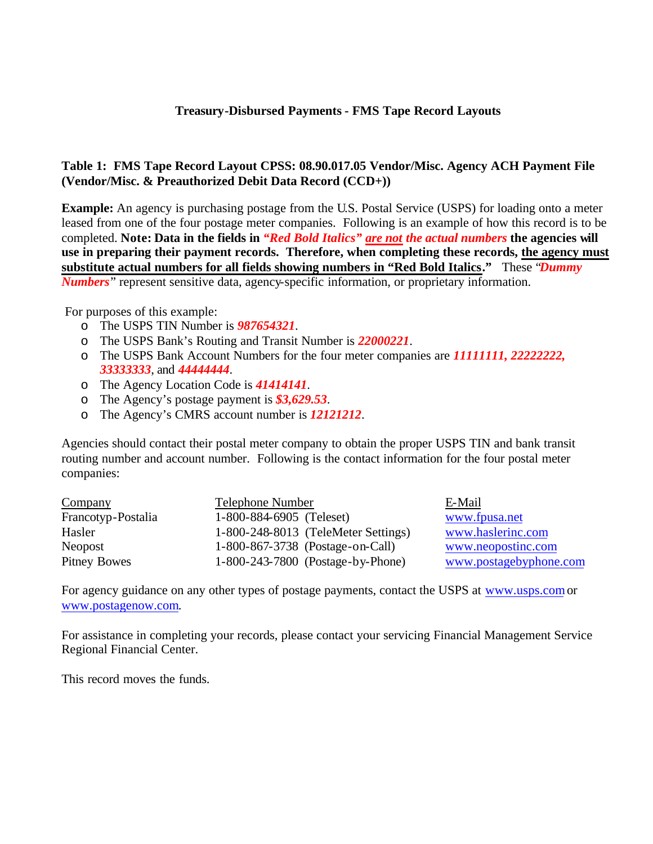## **Treasury-Disbursed Payments - FMS Tape Record Layouts**

## **Table 1: FMS Tape Record Layout CPSS: 08.90.017.05 Vendor/Misc. Agency ACH Payment File (Vendor/Misc. & Preauthorized Debit Data Record (CCD+))**

**Example:** An agency is purchasing postage from the U.S. Postal Service (USPS) for loading onto a meter leased from one of the four postage meter companies. Following is an example of how this record is to be completed. **Note: Data in the fields in** *"Red Bold Italics" are not the actual numbers* **the agencies will use in preparing their payment records. Therefore, when completing these records, the agency must substitute actual numbers for all fields showing numbers in "Red Bold Italics."** These "*Dummy Numbers*" represent sensitive data, agency-specific information, or proprietary information.

For purposes of this example:

- o The USPS TIN Number is *987654321*.
- o The USPS Bank's Routing and Transit Number is *22000221*.
- o The USPS Bank Account Numbers for the four meter companies are *11111111, 22222222, 33333333*, and *44444444*.
- o The Agency Location Code is *41414141*.
- o The Agency's postage payment is *\$3,629.53*.
- o The Agency's CMRS account number is *12121212*.

Agencies should contact their postal meter company to obtain the proper USPS TIN and bank transit routing number and account number. Following is the contact information for the four postal meter companies:

| Company             | <b>Telephone Number</b>             | E-Mail                 |
|---------------------|-------------------------------------|------------------------|
| Francotyp-Postalia  | 1-800-884-6905 (Teleset)            | www.fpusa.net          |
| Hasler              | 1-800-248-8013 (TeleMeter Settings) | www.haslerinc.com      |
| Neopost             | 1-800-867-3738 (Postage-on-Call)    | www.neopostinc.com     |
| <b>Pitney Bowes</b> | 1-800-243-7800 (Postage-by-Phone)   | www.postagebyphone.com |

For agency guidance on any other types of postage payments, contact the USPS at www.usps.com or www.postagenow.com.

For assistance in completing your records, please contact your servicing Financial Management Service Regional Financial Center.

This record moves the funds.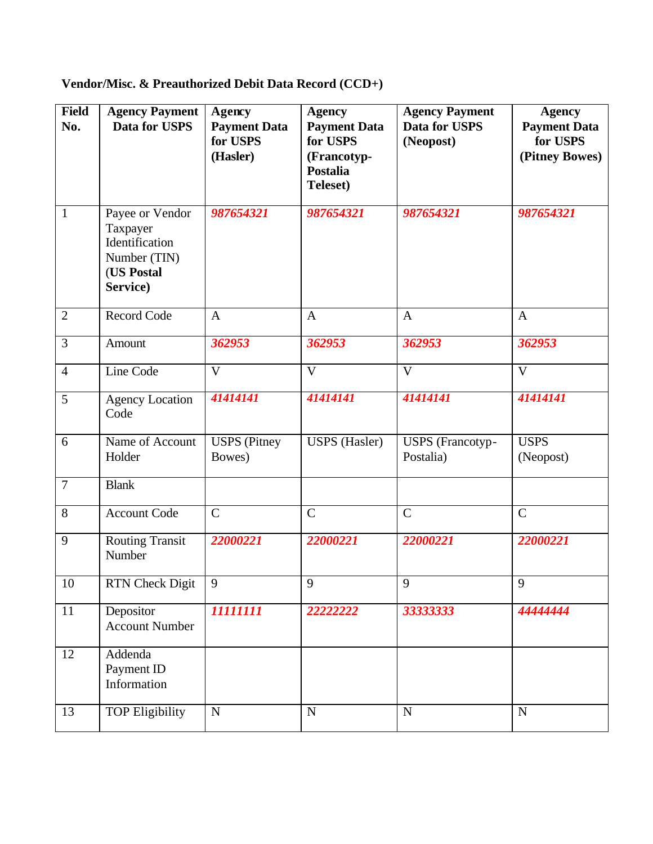| <b>Field</b><br>No. | <b>Agency Payment</b><br>Data for USPS                                                  | <b>Agency</b><br><b>Payment Data</b><br>for USPS<br>(Hasler) | <b>Agency</b><br><b>Payment Data</b><br>for USPS<br>(Francotyp-<br><b>Postalia</b><br><b>Teleset</b> ) | <b>Agency Payment</b><br>Data for USPS<br>(Neopost) | <b>Agency</b><br><b>Payment Data</b><br>for USPS<br>(Pitney Bowes) |
|---------------------|-----------------------------------------------------------------------------------------|--------------------------------------------------------------|--------------------------------------------------------------------------------------------------------|-----------------------------------------------------|--------------------------------------------------------------------|
| $\mathbf{1}$        | Payee or Vendor<br>Taxpayer<br>Identification<br>Number (TIN)<br>(US Postal<br>Service) | 987654321                                                    | 987654321                                                                                              | 987654321                                           | 987654321                                                          |
| $\overline{2}$      | Record Code                                                                             | $\mathbf{A}$                                                 | $\mathbf{A}$                                                                                           | $\mathbf{A}$                                        | $\mathbf{A}$                                                       |
| 3                   | Amount                                                                                  | 362953                                                       | 362953                                                                                                 | 362953                                              | 362953                                                             |
| $\overline{4}$      | Line Code                                                                               | $\mathbf{V}$                                                 | $\mathbf{V}$                                                                                           | $\mathbf{V}$                                        | $\overline{\mathbf{V}}$                                            |
| 5                   | <b>Agency Location</b><br>Code                                                          | 41414141                                                     | 41414141                                                                                               | 41414141                                            | 41414141                                                           |
| 6                   | Name of Account<br>Holder                                                               | <b>USPS</b> (Pitney<br>Bowes)                                | <b>USPS</b> (Hasler)                                                                                   | <b>USPS</b> (Francotyp-<br>Postalia)                | <b>USPS</b><br>(Neopost)                                           |
| $\overline{7}$      | <b>Blank</b>                                                                            |                                                              |                                                                                                        |                                                     |                                                                    |
| 8                   | <b>Account Code</b>                                                                     | $\mathbf C$                                                  | $\mathcal{C}$                                                                                          | $\mathcal{C}$                                       | $\mathbf C$                                                        |
| 9                   | <b>Routing Transit</b><br>Number                                                        | 22000221                                                     | 22000221                                                                                               | 22000221                                            | 22000221                                                           |
| 10                  | RTN Check Digit                                                                         | 9                                                            | 9                                                                                                      | 9                                                   | 9                                                                  |
| 11                  | Depositor<br><b>Account Number</b>                                                      | 11111111                                                     | 22222222                                                                                               | 33333333                                            | 4444444                                                            |
| 12                  | Addenda<br>Payment ID<br>Information                                                    |                                                              |                                                                                                        |                                                     |                                                                    |
| 13                  | <b>TOP Eligibility</b>                                                                  | ${\bf N}$                                                    | $\mathbf N$                                                                                            | $\mathbf N$                                         | ${\bf N}$                                                          |

**Vendor/Misc. & Preauthorized Debit Data Record (CCD+)**